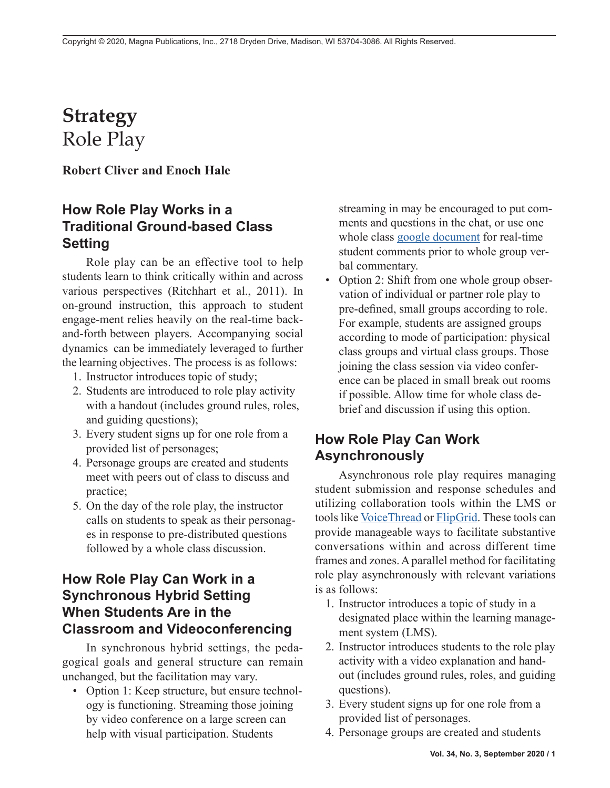# **Strategy** Role Play

**Robert Cliver and Enoch Hale**

## **How Role Play Works in a Traditional Ground-based Class Setting**

Role play can be an effective tool to help students learn to think critically within and across various perspectives (Ritchhart et al., 2011). In on-ground instruction, this approach to student engage-ment relies heavily on the real-time backand-forth between players. Accompanying social dynamics can be immediately leveraged to further the learning objectives. The process is as follows:

- 1. Instructor introduces topic of study;
- 2. Students are introduced to role play activity with a handout (includes ground rules, roles, and guiding questions);
- 3. Every student signs up for one role from a provided list of personages;
- 4. Personage groups are created and students meet with peers out of class to discuss and practice;
- 5. On the day of the role play, the instructor calls on students to speak as their personages in response to pre-distributed questions followed by a whole class discussion.

### **How Role Play Can Work in a Synchronous Hybrid Setting When Students Are in the Classroom and Videoconferencing**

In synchronous hybrid settings, the pedagogical goals and general structure can remain unchanged, but the facilitation may vary.

• Option 1: Keep structure, but ensure technology is functioning. Streaming those joining by video conference on a large screen can help with visual participation. Students

streaming in may be encouraged to put comments and questions in the chat, or use one whole class [google document](https://www.facultyfocus.com/articles/online-education/improving-breakout-room-discussions-in-online-teaching-by-using-collaborative-documents/) for real-time student comments prior to whole group verbal commentary.

• Option 2: Shift from one whole group observation of individual or partner role play to pre-defined, small groups according to role. For example, students are assigned groups according to mode of participation: physical class groups and virtual class groups. Those joining the class session via video conference can be placed in small break out rooms if possible. Allow time for whole class debrief and discussion if using this option.

#### **How Role Play Can Work Asynchronously**

Asynchronous role play requires managing student submission and response schedules and utilizing collaboration tools within the LMS or tools like [VoiceThread](http://Voicethread.com) or [FlipGrid](http://info.flipgrid.com). These tools can provide manageable ways to facilitate substantive conversations within and across different time frames and zones. A parallel method for facilitating role play asynchronously with relevant variations is as follows:

- 1. Instructor introduces a topic of study in a designated place within the learning management system (LMS).
- 2. Instructor introduces students to the role play activity with a video explanation and handout (includes ground rules, roles, and guiding questions).
- 3. Every student signs up for one role from a provided list of personages.
- 4. Personage groups are created and students